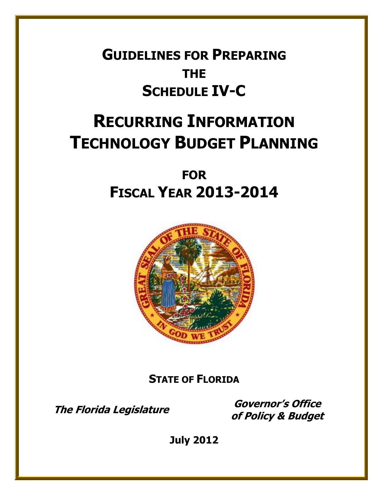# **GUIDELINES FOR PREPARING THE SCHEDULE IV-C**

# **RECURRING INFORMATION TECHNOLOGY BUDGET PLANNING**

# **FOR FISCAL YEAR 2013-2014**



# **STATE OF FLORIDA**

**The Florida Legislature**

**Governor's Office of Policy & Budget**

**July 2012**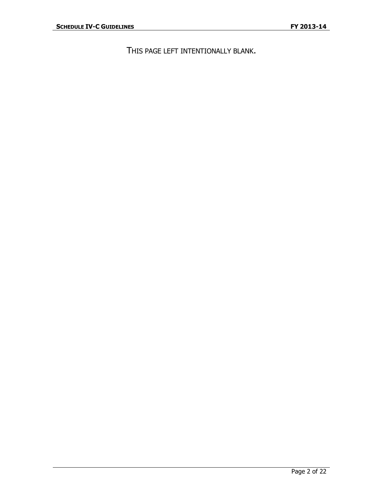THIS PAGE LEFT INTENTIONALLY BLANK.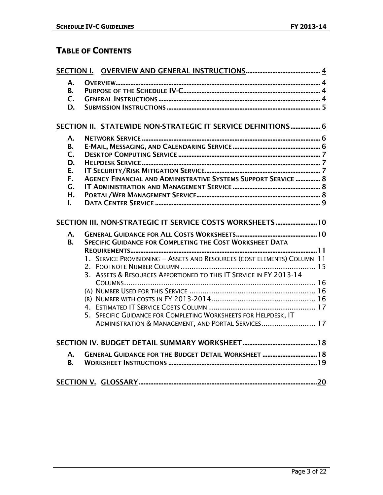# **TABLE OF CONTENTS**

| А.             |                                                                           |  |
|----------------|---------------------------------------------------------------------------|--|
| <b>B.</b>      |                                                                           |  |
| $\mathsf{C}$ . |                                                                           |  |
| D.             |                                                                           |  |
|                | SECTION II. STATEWIDE NON-STRATEGIC IT SERVICE DEFINITIONS 6              |  |
| А.             |                                                                           |  |
| <b>B.</b>      |                                                                           |  |
| C.             |                                                                           |  |
| D.             |                                                                           |  |
| E.             |                                                                           |  |
| F.             | AGENCY FINANCIAL AND ADMINISTRATIVE SYSTEMS SUPPORT SERVICE  8            |  |
| G.             |                                                                           |  |
| Η.             |                                                                           |  |
| $\mathbf{L}$   |                                                                           |  |
|                |                                                                           |  |
|                | SECTION III. NON-STRATEGIC IT SERVICE COSTS WORKSHEETS  10                |  |
|                |                                                                           |  |
|                |                                                                           |  |
| A.             |                                                                           |  |
| <b>B.</b>      | <b>SPECIFIC GUIDANCE FOR COMPLETING THE COST WORKSHEET DATA</b>           |  |
|                |                                                                           |  |
|                | 1. SERVICE PROVISIONING -- ASSETS AND RESOURCES (COST ELEMENTS) COLUMN 11 |  |
|                | 3. ASSETS & RESOURCES APPORTIONED TO THIS IT SERVICE IN FY 2013-14        |  |
|                |                                                                           |  |
|                |                                                                           |  |
|                |                                                                           |  |
|                |                                                                           |  |
|                | 5. SPECIFIC GUIDANCE FOR COMPLETING WORKSHEETS FOR HELPDESK, IT           |  |
|                | ADMINISTRATION & MANAGEMENT, AND PORTAL SERVICES 17                       |  |
|                |                                                                           |  |
|                |                                                                           |  |
| А.             | GENERAL GUIDANCE FOR THE BUDGET DETAIL WORKSHEET  18                      |  |
| В.             |                                                                           |  |
|                |                                                                           |  |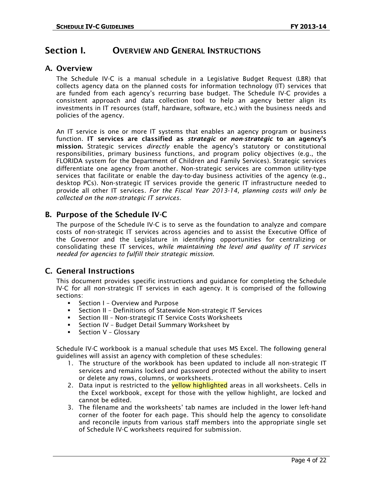# <span id="page-3-0"></span>**Section I. OVERVIEW AND GENERAL INSTRUCTIONS**

### <span id="page-3-1"></span>**A. Overview**

The Schedule IV-C is a manual schedule in a Legislative Budget Request (LBR) that collects agency data on the planned costs for information technology (IT) services that are funded from each agency's recurring base budget. The Schedule IV-C provides a consistent approach and data collection tool to help an agency better align its investments in IT resources (staff, hardware, software, etc.) with the business needs and policies of the agency.

An IT service is one or more IT systems that enables an agency program or business function. **IT services are classified as** *strategic* **or** *non-strategic* **to an agency's mission.** Strategic services *directly* enable the agency's statutory or constitutional responsibilities, primary business functions, and program policy objectives (e.g., the FLORIDA system for the Department of Children and Family Services). Strategic services differentiate one agency from another. Non-strategic services are common utility-type services that facilitate or enable the day-to-day business activities of the agency (e.g., desktop PCs). Non-strategic IT services provide the generic IT infrastructure needed to provide all other IT services. *For the Fiscal Year 2013-14, planning costs will only be collected on the non-strategic IT services*.

# <span id="page-3-2"></span>**B. Purpose of the Schedule IV-C**

The purpose of the Schedule IV-C is to serve as the foundation to analyze and compare costs of non-strategic IT services across agencies and to assist the Executive Office of the Governor and the Legislature in identifying opportunities for centralizing or consolidating these IT services, *while maintaining the level and quality of IT services needed for agencies to fulfill their strategic mission.*

#### <span id="page-3-3"></span>**C. General Instructions**

This document provides specific instructions and guidance for completing the Schedule IV-C for all non-strategic IT services in each agency. It is comprised of the following sections:

- **Section I Overview and Purpose**
- Section II Definitions of Statewide Non-strategic IT Services
- **Section III Non-strategic IT Service Costs Worksheets**
- Section IV Budget Detail Summary Worksheet by
- **Section V Glossary**

Schedule IV-C workbook is a manual schedule that uses MS Excel. The following general guidelines will assist an agency with completion of these schedules:

- 1. The structure of the workbook has been updated to include all non-strategic IT services and remains locked and password protected without the ability to insert or delete any rows, columns, or worksheets.
- 2. Data input is restricted to the yellow highlighted areas in all worksheets. Cells in the Excel workbook, except for those with the yellow highlight, are locked and cannot be edited.
- 3. The filename and the worksheets' tab names are included in the lower left-hand corner of the footer for each page. This should help the agency to consolidate and reconcile inputs from various staff members into the appropriate single set of Schedule IV-C worksheets required for submission.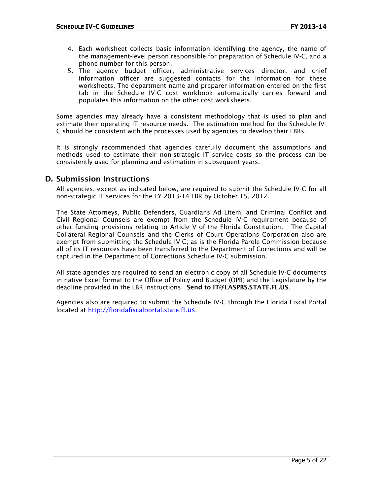- 4. Each worksheet collects basic information identifying the agency, the name of the management-level person responsible for preparation of Schedule IV-C, and a phone number for this person.
- 5. The agency budget officer, administrative services director, and chief information officer are suggested contacts for the information for these worksheets. The department name and preparer information entered on the first tab in the Schedule IV-C cost workbook automatically carries forward and populates this information on the other cost worksheets.

Some agencies may already have a consistent methodology that is used to plan and estimate their operating IT resource needs. The estimation method for the Schedule IV-C should be consistent with the processes used by agencies to develop their LBRs.

It is strongly recommended that agencies carefully document the assumptions and methods used to estimate their non-strategic IT service costs so the process can be consistently used for planning and estimation in subsequent years.

#### <span id="page-4-0"></span>**D. Submission Instructions**

All agencies, except as indicated below, are required to submit the Schedule IV-C for all non-strategic IT services for the FY 2013-14 LBR by October 15, 2012.

The State Attorneys, Public Defenders, Guardians Ad Litem, and Criminal Conflict and Civil Regional Counsels are exempt from the Schedule IV-C requirement because of other funding provisions relating to Article V of the Florida Constitution. The Capital Collateral Regional Counsels and the Clerks of Court Operations Corporation also are exempt from submitting the Schedule IV-C; as is the Florida Parole Commission because all of its IT resources have been transferred to the Department of Corrections and will be captured in the Department of Corrections Schedule IV-C submission.

All state agencies are required to send an electronic copy of all Schedule IV-C documents in native Excel format to the Office of Policy and Budget (OPB) and the Legislature by the deadline provided in the LBR instructions. **Send to IT@LASPBS.STATE.FL.US**.

Agencies also are required to submit the Schedule IV-C through the Florida Fiscal Portal located at [http://floridafiscalportal.state.f](http://floridafiscalportal.state.fl.us/)l.us.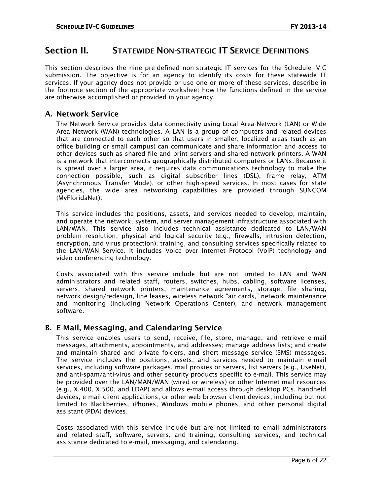# <span id="page-5-0"></span>**Section II. STATEWIDE NON-STRATEGIC IT SERVICE DEFINITIONS**

This section describes the nine pre-defined non-strategic IT services for the Schedule IV-C submission. The objective is for an agency to identify its costs for these statewide IT services. If your agency does not provide or use one or more of these services, describe in the footnote section of the appropriate worksheet how the functions defined in the service are otherwise accomplished or provided in your agency.

### <span id="page-5-1"></span>**A. Network Service**

The Network Service provides data connectivity using Local Area Network (LAN) or Wide Area Network (WAN) technologies. A LAN is a group of computers and related devices that are connected to each other so that users in smaller, localized areas (such as an office building or small campus) can communicate and share information and access to other devices such as shared file and print servers and shared network printers. A WAN is a network that interconnects geographically distributed computers or LANs. Because it is spread over a larger area, it requires data communications technology to make the connection possible, such as digital subscriber lines (DSL), frame relay, ATM (Asynchronous Transfer Mode), or other high-speed services. In most cases for state agencies, the wide area networking capabilities are provided through SUNCOM (MyFloridaNet).

This service includes the positions, assets, and services needed to develop, maintain, and operate the network, system, and server management infrastructure associated with LAN/WAN. This service also includes technical assistance dedicated to LAN/WAN problem resolution, physical and logical security (e.g., firewalls, intrusion detection, encryption, and virus protection), training, and consulting services specifically related to the LAN/WAN Service. It includes Voice over Internet Protocol (VoIP) technology and video conferencing technology.

Costs associated with this service include but are not limited to LAN and WAN administrators and related staff, routers, switches, hubs, cabling, software licenses, servers, shared network printers, maintenance agreements, storage, file sharing, network design/redesign, line leases, wireless network "air cards," network maintenance and monitoring (including Network Operations Center), and network management software.

# <span id="page-5-2"></span>**B. E-Mail, Messaging, and Calendaring Service**

This service enables users to send, receive, file, store, manage, and retrieve e-mail messages, attachments, appointments, and addresses; manage address lists; and create and maintain shared and private folders, and short message service (SMS) messages. The service includes the positions, assets, and services needed to maintain e-mail services, including software packages, mail proxies or servers, list servers (e.g., UseNet), and anti-spam/anti-virus and other security products specific to e-mail. This service may be provided over the LAN/MAN/WAN (wired or wireless) or other Internet mail resources (e.g., X.400, X.500, and LDAP) and allows e-mail access through desktop PCs, handheld devices, e-mail client applications, or other web-browser client devices, including but not limited to Blackberries, iPhones, Windows mobile phones, and other personal digital assistant (PDA) devices.

Costs associated with this service include but are not limited to email administrators and related staff, software, servers, and training, consulting services, and technical assistance dedicated to e-mail, messaging, and calendaring.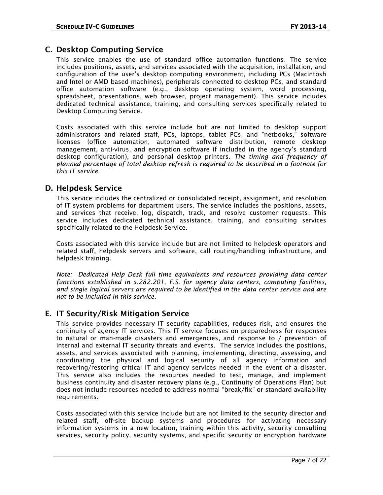# <span id="page-6-0"></span>**C. Desktop Computing Service**

This service enables the use of standard office automation functions. The service includes positions, assets, and services associated with the acquisition, installation, and configuration of the user's desktop computing environment, including PCs (Macintosh and Intel or AMD based machines), peripherals connected to desktop PCs, and standard office automation software (e.g., desktop operating system, word processing, spreadsheet, presentations, web browser, project management). This service includes dedicated technical assistance, training, and consulting services specifically related to Desktop Computing Service.

Costs associated with this service include but are not limited to desktop support administrators and related staff, PCs, laptops, tablet PCs, and "netbooks," software licenses (office automation, automated software distribution, remote desktop management, anti-virus, and encryption software if included in the agency's standard desktop configuration), and personal desktop printers. *The timing and frequency of planned percentage of total desktop refresh is required to be described in a footnote for this IT service.*

#### <span id="page-6-1"></span>**D. Helpdesk Service**

This service includes the centralized or consolidated receipt, assignment, and resolution of IT system problems for department users. The service includes the positions, assets, and services that receive, log, dispatch, track, and resolve customer requests. This service includes dedicated technical assistance, training, and consulting services specifically related to the Helpdesk Service.

Costs associated with this service include but are not limited to helpdesk operators and related staff, helpdesk servers and software, call routing/handling infrastructure, and helpdesk training.

*Note: Dedicated Help Desk full time equivalents and resources providing data center functions established in s.282.201, F.S. for agency data centers, computing facilities, and single logical servers are required to be identified in the data center service and are not to be included in this service.* 

# <span id="page-6-2"></span>**E. IT Security/Risk Mitigation Service**

This service provides necessary IT security capabilities, reduces risk, and ensures the continuity of agency IT services. This IT service focuses on preparedness for responses to natural or man-made disasters and emergencies, and response to / prevention of internal and external IT security threats and events. The service includes the positions, assets, and services associated with planning, implementing, directing, assessing, and coordinating the physical and logical security of all agency information and recovering/restoring critical IT and agency services needed in the event of a disaster. This service also includes the resources needed to test, manage, and implement business continuity and disaster recovery plans (e.g., Continuity of Operations Plan) but does not include resources needed to address normal "break/fix" or standard availability requirements.

Costs associated with this service include but are not limited to the security director and related staff, off-site backup systems and procedures for activating necessary information systems in a new location, training within this activity, security consulting services, security policy, security systems, and specific security or encryption hardware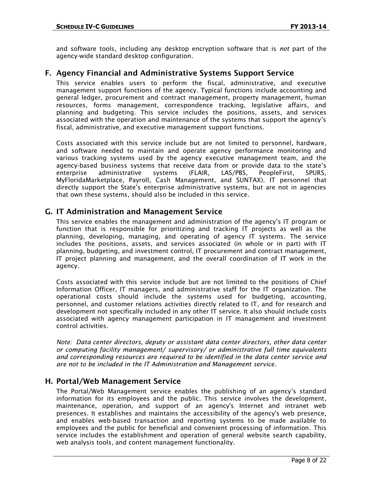and software tools, including any desktop encryption software that is *not* part of the agency-wide standard desktop configuration.

# <span id="page-7-0"></span>**F. Agency Financial and Administrative Systems Support Service**

This service enables users to perform the fiscal, administrative, and executive management support functions of the agency. Typical functions include accounting and general ledger, procurement and contract management, property management, human resources, forms management, correspondence tracking, legislative affairs, and planning and budgeting. This service includes the positions, assets, and services associated with the operation and maintenance of the systems that support the agency's fiscal, administrative, and executive management support functions.

Costs associated with this service include but are not limited to personnel, hardware, and software needed to maintain and operate agency performance monitoring and various tracking systems used by the agency executive management team, and the agency-based business systems that receive data from or provide data to the state's enterprise administrative systems (FLAIR, LAS/PBS, PeopleFirst, SPURS, MyFloridaMarketplace, Payroll, Cash Management, and SUNTAX). IT personnel that directly support the State's enterprise administrative systems, but are not in agencies that own these systems, should also be included in this service.

# <span id="page-7-1"></span>**G. IT Administration and Management Service**

This service enables the management and administration of the agency's IT program or function that is responsible for prioritizing and tracking IT projects as well as the planning, developing, managing, and operating of agency IT systems. The service includes the positions, assets, and services associated (in whole or in part) with IT planning, budgeting, and investment control, IT procurement and contract management, IT project planning and management, and the overall coordination of IT work in the agency.

Costs associated with this service include but are not limited to the positions of Chief Information Officer, IT managers, and administrative staff for the IT organization. The operational costs should include the systems used for budgeting, accounting, personnel, and customer relations activities directly related to IT, and for research and development not specifically included in any other IT service. It also should include costs associated with agency management participation in IT management and investment control activities.

*Note: Data center directors, deputy or assistant data center directors, other data center or computing facility management/ supervisory/ or administrative full time equivalents and corresponding resources are required to be identified in the data center service and are not to be included in the IT Administration and Management service.* 

# <span id="page-7-2"></span>**H. Portal/Web Management Service**

The Portal/Web Management service enables the publishing of an agency's standard information for its employees and the public. This service involves the development, maintenance, operation, and support of an agency's Internet and intranet web presences. It establishes and maintains the accessibility of the agency's web presence, and enables web-based transaction and reporting systems to be made available to employees and the public for beneficial and convenient processing of information. This service includes the establishment and operation of general website search capability, web analysis tools, and content management functionality.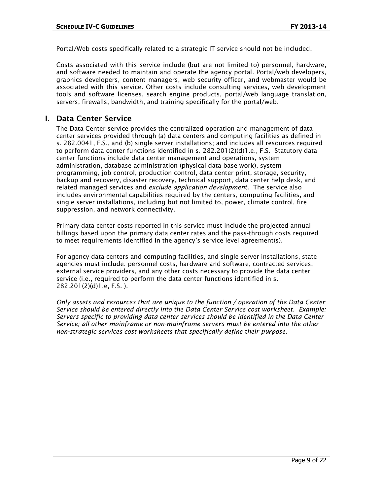Portal/Web costs specifically related to a strategic IT service should not be included.

Costs associated with this service include (but are not limited to) personnel, hardware, and software needed to maintain and operate the agency portal. Portal/web developers, graphics developers, content managers, web security officer, and webmaster would be associated with this service. Other costs include consulting services, web development tools and software licenses, search engine products, portal/web language translation, servers, firewalls, bandwidth, and training specifically for the portal/web.

### <span id="page-8-0"></span>**I. Data Center Service**

The Data Center service provides the centralized operation and management of data center services provided through (a) data centers and computing facilities as defined in s. 282.0041, F.S., and (b) single server installations; and includes all resources required to perform data center functions identified in s. 282.201(2)(d)1.e., F.S. Statutory data center functions include data center management and operations, system administration, database administration (physical data base work), system programming, job control, production control, data center print, storage, security, backup and recovery, disaster recovery, technical support, data center help desk, and related managed services and *exclude application development.* The service also includes environmental capabilities required by the centers, computing facilities, and single server installations, including but not limited to, power, climate control, fire suppression, and network connectivity.

Primary data center costs reported in this service must include the projected annual billings based upon the primary data center rates and the pass-through costs required to meet requirements identified in the agency's service level agreement(s).

For agency data centers and computing facilities, and single server installations, state agencies must include: personnel costs, hardware and software, contracted services, external service providers, and any other costs necessary to provide the data center service (i.e., required to perform the data center functions identified in s. 282.201(2)(d)1.e, F.S. ).

*Only assets and resources that are unique to the function / operation of the Data Center Service should be entered directly into the Data Center Service cost worksheet. Example: Servers specific to providing data center services should be identified in the Data Center Service; all other mainframe or non-mainframe servers must be entered into the other non-strategic services cost worksheets that specifically define their purpose.*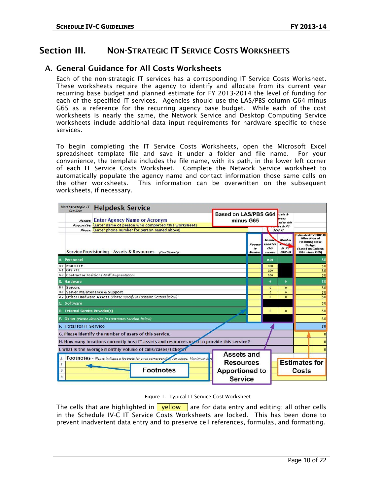# <span id="page-9-0"></span>**Section III. NON-STRATEGIC IT SERVICE COSTS WORKSHEETS**

# <span id="page-9-1"></span>**A. General Guidance for All Costs Worksheets**

Each of the non-strategic IT services has a corresponding IT Service Costs Worksheet. These worksheets require the agency to identify and allocate from its current year recurring base budget and planned estimate for FY 2013-2014 the level of funding for each of the specified IT services. Agencies should use the LAS/PBS column G64 minus G65 as a reference for the recurring agency base budget. While each of the cost worksheets is nearly the same, the Network Service and Desktop Computing Service worksheets include additional data input requirements for hardware specific to these services.

To begin completing the IT Service Costs Worksheets, open the Microsoft Excel spreadsheet template file and save it under a folder and file name. For your convenience, the template includes the file name, with its path, in the lower left corner of each IT Service Costs Worksheet. Complete the Network Service worksheet to automatically populate the agency name and contact information those same cells on the other worksheets. This information can be overwritten on the subsequent worksheets, if necessary.

| sets &                                                                                                          |                                                                                                             |  |  |  |  |  |
|-----------------------------------------------------------------------------------------------------------------|-------------------------------------------------------------------------------------------------------------|--|--|--|--|--|
| ed to this                                                                                                      |                                                                                                             |  |  |  |  |  |
| ce in FY                                                                                                        |                                                                                                             |  |  |  |  |  |
|                                                                                                                 | <b>Estimated FY 2012-13</b>                                                                                 |  |  |  |  |  |
| <b>Mumber</b><br><b>Number</b><br>used for<br><b><i><u>ENGROSSE</u></i></b><br>in FT<br>2612-13                 | <b>Allocation of</b><br><b>Recurring Base</b><br><b>Budget</b><br>(based on Column<br><b>G64 minus G651</b> |  |  |  |  |  |
|                                                                                                                 | SO                                                                                                          |  |  |  |  |  |
|                                                                                                                 | <sub>so</sub>                                                                                               |  |  |  |  |  |
|                                                                                                                 | <b>SO</b>                                                                                                   |  |  |  |  |  |
|                                                                                                                 | so                                                                                                          |  |  |  |  |  |
|                                                                                                                 | <sub>so</sub>                                                                                               |  |  |  |  |  |
| $\mathbf{0}$                                                                                                    | <sub>so</sub>                                                                                               |  |  |  |  |  |
|                                                                                                                 | <sub>so</sub><br><sub>so</sub>                                                                              |  |  |  |  |  |
| B-3 Other Hardware Assets (Please specify in Footnote Section below)<br>$\mathbf{0}$<br>C. Software             |                                                                                                             |  |  |  |  |  |
| $\mathbf{0}$                                                                                                    | <sub>so</sub>                                                                                               |  |  |  |  |  |
|                                                                                                                 | <sub>so</sub>                                                                                               |  |  |  |  |  |
| <b>F. Total for IT Service</b>                                                                                  |                                                                                                             |  |  |  |  |  |
| G. Please identify the number of users of this service.                                                         |                                                                                                             |  |  |  |  |  |
| H. How many locations currently host IT assets and resources used to provide this service?                      |                                                                                                             |  |  |  |  |  |
|                                                                                                                 | $\mathbf{0}$                                                                                                |  |  |  |  |  |
| <b>Assets and</b><br>Footnotes - Please indicate a footnote for each corresponding row above. Maximum for<br>J. |                                                                                                             |  |  |  |  |  |
| <b>Estimates for</b><br><b>Resources</b>                                                                        |                                                                                                             |  |  |  |  |  |
| <b>Footnotes</b><br>$\overline{c}$                                                                              |                                                                                                             |  |  |  |  |  |
| Costs<br><b>Apportioned to</b><br>$\overline{\mathbf{3}}$                                                       |                                                                                                             |  |  |  |  |  |
| <b>Service</b>                                                                                                  |                                                                                                             |  |  |  |  |  |
|                                                                                                                 | urces<br>2012-13<br>$\theta$<br>$\mathbf{0}$<br>$\mathbf{0}$                                                |  |  |  |  |  |



The cells that are highlighted in **yellow** are for data entry and editing; all other cells in the Schedule IV-C IT Service Costs Worksheets are locked. This has been done to prevent inadvertent data entry and to preserve cell references, formulas, and formatting.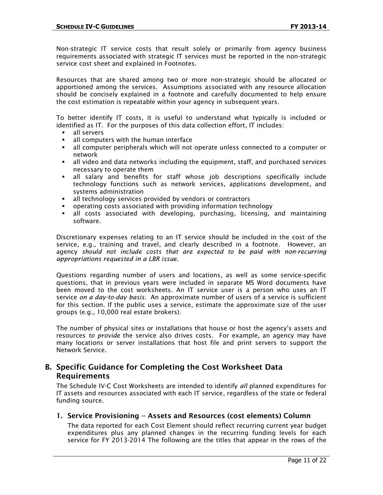Non-strategic IT service costs that result solely or primarily from agency business requirements associated with strategic IT services must be reported in the non-strategic service cost sheet and explained in Footnotes.

Resources that are shared among two or more non-strategic should be allocated or apportioned among the services. Assumptions associated with any resource allocation should be concisely explained in a footnote and carefully documented to help ensure the cost estimation is repeatable within your agency in subsequent years.

To better identify IT costs, it is useful to understand what typically is included or identified as IT. For the purposes of this data collection effort, IT includes:

- all servers
- **all computers with the human interface**
- all computer peripherals which will not operate unless connected to a computer or network
- all video and data networks including the equipment, staff, and purchased services necessary to operate them
- all salary and benefits for staff whose job descriptions specifically include technology functions such as network services, applications development, and systems administration
- all technology services provided by vendors or contractors
- operating costs associated with providing information technology
- all costs associated with developing, purchasing, licensing, and maintaining software.

Discretionary expenses relating to an IT service should be included in the cost of the service, e.g., training and travel, and clearly described in a footnote. However, an agency *should not include costs that are expected to be paid with non-recurring appropriations requested in a LBR issue*.

Questions regarding number of users and locations, as well as some service-specific questions, that in previous years were included in separate MS Word documents have been moved to the cost worksheets. An IT service user is a person who uses an IT service *on a day-to-day basis*. An approximate number of users of a service is sufficient for this section. If the public uses a service, estimate the approximate size of the user groups (e.g., 10,000 real estate brokers).

The number of physical sites or installations that house or host the agency's assets and resources *to provide* the service also drives costs. For example, an agency may have many locations or server installations that host file and print servers to support the Network Service.

# <span id="page-10-0"></span>**B. Specific Guidance for Completing the Cost Worksheet Data Requirements**

The Schedule IV-C Cost Worksheets are intended to identify *all* planned expenditures for IT assets and resources associated with each IT service, regardless of the state or federal funding source.

#### <span id="page-10-1"></span>**1. Service Provisioning -- Assets and Resources (cost elements) Column**

The data reported for each Cost Element should reflect recurring current year budget expenditures plus any planned changes in the recurring funding levels for each service for FY 2013-2014 The following are the titles that appear in the rows of the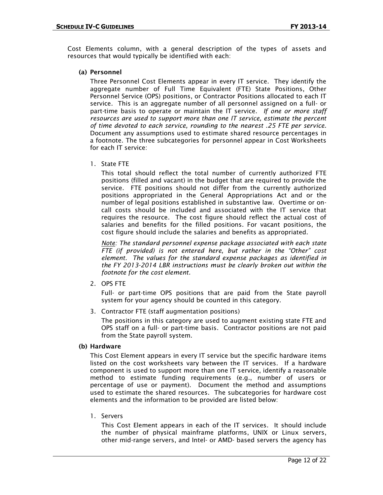Cost Elements column, with a general description of the types of assets and resources that would typically be identified with each:

#### **(a) Personnel**

Three Personnel Cost Elements appear in every IT service. They identify the aggregate number of Full Time Equivalent (FTE) State Positions, Other Personnel Service (OPS) positions, or Contractor Positions allocated to each IT service. This is an aggregate number of all personnel assigned on a full- or part-time basis to operate or maintain the IT service. *If one or more staff resources are used to support more than one IT service, estimate the percent of time devoted to each service, rounding to the nearest .25 FTE per service.* Document any assumptions used to estimate shared resource percentages in a footnote. The three subcategories for personnel appear in Cost Worksheets for each IT service:

#### 1. State FTE

This total should reflect the total number of currently authorized FTE positions (filled and vacant) in the budget that are required to provide the service. FTE positions should not differ from the currently authorized positions appropriated in the General Appropriations Act and or the number of legal positions established in substantive law. Overtime or oncall costs should be included and associated with the IT service that requires the resource. The cost figure should reflect the actual cost of salaries and benefits for the filled positions. For vacant positions, the cost figure should include the salaries and benefits as appropriated.

*Note: The standard personnel expense package associated with each state FTE (if provided) is not entered here, but rather in the "Other" cost element. The values for the standard expense packages as identified in the FY 2013-2014 LBR instructions must be clearly broken out within the footnote for the cost element.* 

2. OPS FTE

Full- or part-time OPS positions that are paid from the State payroll system for your agency should be counted in this category.

3. Contractor FTE (staff augmentation positions)

The positions in this category are used to augment existing state FTE and OPS staff on a full- or part-time basis. Contractor positions are not paid from the State payroll system.

#### **(b) Hardware**

This Cost Element appears in every IT service but the specific hardware items listed on the cost worksheets vary between the IT services. If a hardware component is used to support more than one IT service, identify a reasonable method to estimate funding requirements (e.g., number of users or percentage of use or payment). Document the method and assumptions used to estimate the shared resources. The subcategories for hardware cost elements and the information to be provided are listed below:

1. Servers

This Cost Element appears in each of the IT services. It should include the number of physical mainframe platforms, UNIX or Linux servers, other mid-range servers, and Intel- or AMD- based servers the agency has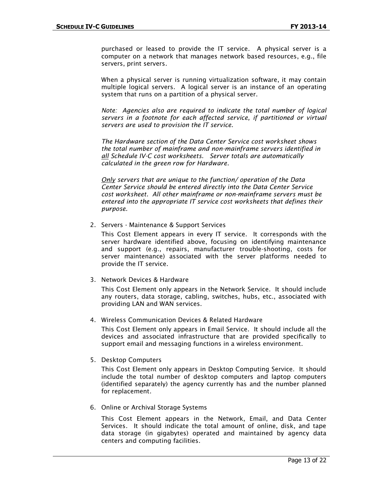purchased or leased to provide the IT service. A physical server is a computer on a network that manages network based resources, e.g., file servers, print servers.

When a physical server is running virtualization software, it may contain multiple logical servers. A logical server is an instance of an operating system that runs on a partition of a physical server.

*Note: Agencies also are required to indicate the total number of logical servers in a footnote for each affected service, if partitioned or virtual servers are used to provision the IT service.*

*The Hardware section of the Data Center Service cost worksheet shows the total number of mainframe and non-mainframe servers identified in all Schedule IV-C cost worksheets. Server totals are automatically calculated in the green row for Hardware.* 

*Only servers that are unique to the function/ operation of the Data Center Service should be entered directly into the Data Center Service cost worksheet. All other mainframe or non-mainframe servers must be entered into the appropriate IT service cost worksheets that defines their purpose.* 

2. Servers - Maintenance & Support Services

This Cost Element appears in every IT service. It corresponds with the server hardware identified above, focusing on identifying maintenance and support (e.g., repairs, manufacturer trouble-shooting, costs for server maintenance) associated with the server platforms needed to provide the IT service.

3. Network Devices & Hardware

This Cost Element only appears in the Network Service. It should include any routers, data storage, cabling, switches, hubs, etc., associated with providing LAN and WAN services.

4. Wireless Communication Devices & Related Hardware

This Cost Element only appears in Email Service. It should include all the devices and associated infrastructure that are provided specifically to support email and messaging functions in a wireless environment.

5. Desktop Computers

This Cost Element only appears in Desktop Computing Service. It should include the total number of desktop computers and laptop computers (identified separately) the agency currently has and the number planned for replacement.

6. Online or Archival Storage Systems

This Cost Element appears in the Network, Email, and Data Center Services. It should indicate the total amount of online, disk, and tape data storage (in gigabytes) operated and maintained by agency data centers and computing facilities.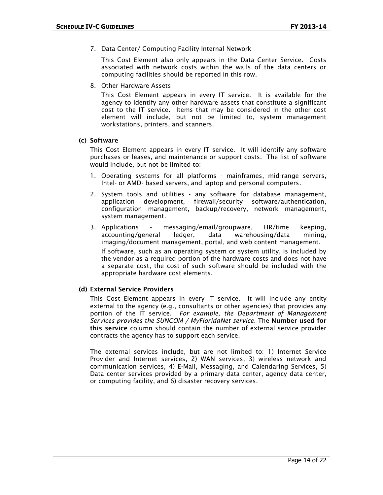7. Data Center/ Computing Facility Internal Network

This Cost Element also only appears in the Data Center Service. Costs associated with network costs within the walls of the data centers or computing facilities should be reported in this row.

8. Other Hardware Assets

This Cost Element appears in every IT service. It is available for the agency to identify any other hardware assets that constitute a significant cost to the IT service. Items that may be considered in the other cost element will include, but not be limited to, system management workstations, printers, and scanners.

#### **(c) Software**

This Cost Element appears in every IT service. It will identify any software purchases or leases, and maintenance or support costs. The list of software would include, but not be limited to:

- 1. Operating systems for all platforms mainframes, mid-range servers, Intel- or AMD- based servers, and laptop and personal computers.
- 2. System tools and utilities any software for database management, application development, firewall/security software/authentication, firewall/security software/authentication, configuration management, backup/recovery, network management, system management.
- 3. Applications messaging/email/groupware, HR/time keeping, accounting/general ledger, data warehousing/data mining, imaging/document management, portal, and web content management. If software, such as an operating system or system utility, is included by the vendor as a required portion of the hardware costs and does not have a separate cost, the cost of such software should be included with the appropriate hardware cost elements.

#### **(d) External Service Providers**

This Cost Element appears in every IT service. It will include any entity external to the agency (e.g., consultants or other agencies) that provides any portion of the IT service. *For example, the Department of Management Services provides the SUNCOM / MyFloridaNet service.* The **Number used for this service** column should contain the number of external service provider contracts the agency has to support each service.

The external services include, but are not limited to: 1) Internet Service Provider and Internet services, 2) WAN services, 3) wireless network and communication services, 4) E-Mail, Messaging, and Calendaring Services, 5) Data center services provided by a primary data center, agency data center, or computing facility, and 6) disaster recovery services.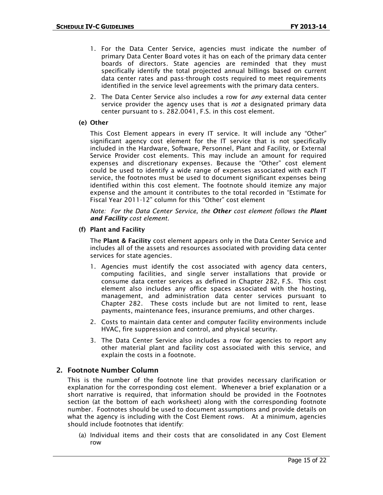- 1. For the Data Center Service, agencies must indicate the number of primary Data Center Board votes it has on each of the primary data center boards of directors. State agencies are reminded that they must specifically identify the total projected annual billings based on current data center rates and pass-through costs required to meet requirements identified in the service level agreements with the primary data centers.
- 2. The Data Center Service also includes a row for *any* external data center service provider the agency uses that is *not* a designated primary data center pursuant to s. 282.0041, F.S. in this cost element.

#### **(e) Other**

This Cost Element appears in every IT service. It will include any "Other" significant agency cost element for the IT service that is not specifically included in the Hardware, Software, Personnel, Plant and Facility, or External Service Provider cost elements. This may include an amount for required expenses and discretionary expenses. Because the "Other" cost element could be used to identify a wide range of expenses associated with each IT service, the footnotes must be used to document significant expenses being identified within this cost element. The footnote should itemize any major expense and the amount it contributes to the total recorded in "Estimate for Fiscal Year 2011-12" column for this "Other" cost element

*Note: For the Data Center Service, the Other cost element follows the Plant and Facility cost element.* 

#### **(f) Plant and Facility**

The **Plant & Facility** cost element appears only in the Data Center Service and includes all of the assets and resources associated with providing data center services for state agencies.

- 1. Agencies must identify the cost associated with agency data centers, computing facilities, and single server installations that provide or consume data center services as defined in Chapter 282, F.S. This cost element also includes any office spaces associated with the hosting, management, and administration data center services pursuant to Chapter 282. These costs include but are not limited to rent, lease payments, maintenance fees, insurance premiums, and other charges.
- 2. Costs to maintain data center and computer facility environments include HVAC, fire suppression and control, and physical security.
- 3. The Data Center Service also includes a row for agencies to report any other material plant and facility cost associated with this service, and explain the costs in a footnote.

#### <span id="page-14-0"></span>**2. Footnote Number Column**

This is the number of the footnote line that provides necessary clarification or explanation for the corresponding cost element. Whenever a brief explanation or a short narrative is required, that information should be provided in the Footnotes section (at the bottom of each worksheet) along with the corresponding footnote number. Footnotes should be used to document assumptions and provide details on what the agency is including with the Cost Element rows. At a minimum, agencies should include footnotes that identify:

(a) Individual items and their costs that are consolidated in any Cost Element row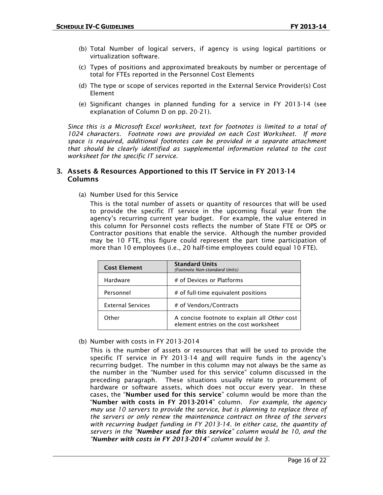- (b) Total Number of logical servers, if agency is using logical partitions or virtualization software.
- (c) Types of positions and approximated breakouts by number or percentage of total for FTEs reported in the Personnel Cost Elements
- (d) The type or scope of services reported in the External Service Provider(s) Cost Element
- (e) Significant changes in planned funding for a service in FY 2013-14 (see explanation of Column D on pp. 20-21).

*Since this is a Microsoft Excel worksheet, text for footnotes is limited to a total of 1024 characters. Footnote rows are provided on each Cost Worksheet. If more space is required, additional footnotes can be provided in a separate attachment that should be clearly identified as supplemental information related to the cost worksheet for the specific IT service.*

#### <span id="page-15-1"></span><span id="page-15-0"></span>**3. Assets & Resources Apportioned to this IT Service in FY 2013-14 Columns**

(a) Number Used for this Service

This is the total number of assets or quantity of resources that will be used to provide the specific IT service in the upcoming fiscal year from the agency's recurring current year budget. For example, the value entered in this column for Personnel costs reflects the number of State FTE or OPS or Contractor positions that enable the service. Although the number provided may be 10 FTE, this figure could represent the part time participation of more than 10 employees (i.e., 20 half-time employees could equal 10 FTE).

| <b>Cost Element</b>      | <b>Standard Units</b><br>(Footnote Non-standard Units)                                |  |  |  |  |
|--------------------------|---------------------------------------------------------------------------------------|--|--|--|--|
| Hardware                 | # of Devices or Platforms                                                             |  |  |  |  |
| Personnel                | # of full-time equivalent positions                                                   |  |  |  |  |
| <b>External Services</b> | # of Vendors/Contracts                                                                |  |  |  |  |
| Other                    | A concise footnote to explain all Other cost<br>element entries on the cost worksheet |  |  |  |  |

<span id="page-15-2"></span>(b) Number with costs in FY 2013-2014

This is the number of assets or resources that will be used to provide the specific IT service in FY 2013-14 and will require funds in the agency's recurring budget. The number in this column may not always be the same as the number in the "Number used for this service" column discussed in the preceding paragraph. These situations usually relate to procurement of hardware or software assets, which does not occur every year. In these cases, the "**Number used for this service**" column would be more than the "**Number with costs in FY 2013-2014**" column. *For example, the agency may use 10 servers to provide the service, but is planning to replace three of the servers or only renew the maintenance contract on three of the servers with recurring budget funding in FY 2013-14. In either case, the quantity of servers in the "Number used for this service" column would be 10, and the "Number with costs in FY 2013-2014" column would be 3.*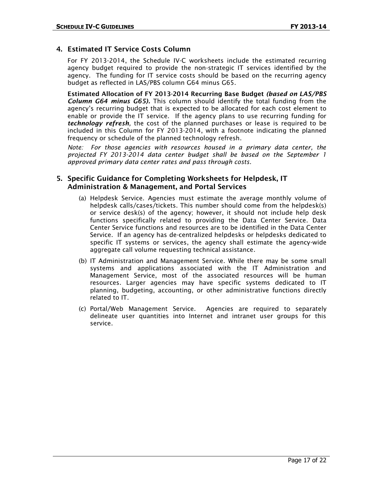#### <span id="page-16-0"></span>**4. Estimated IT Service Costs Column**

For FY 2013-2014, the Schedule IV-C worksheets include the estimated recurring agency budget required to provide the non-strategic IT services identified by the agency. The funding for IT service costs should be based on the recurring agency budget as reflected in LAS/PBS column G64 minus G65.

**Estimated Allocation of FY 2013-2014 Recurring Base Budget** *(based on LAS/PBS Column G64 minus G65).* This column should identify the total funding from the agency's recurring budget that is expected to be allocated for each cost element to enable or provide the IT service. If the agency plans to use recurring funding for *technology refresh,* the cost of the planned purchases or lease is required to be included in this Column for FY 2013-2014, with a footnote indicating the planned frequency or schedule of the planned technology refresh.

*Note: For those agencies with resources housed in a primary data center, the projected FY 2013-2014 data center budget shall be based on the September 1 approved primary data center rates and pass through costs.*

#### <span id="page-16-1"></span>**5. Specific Guidance for Completing Worksheets for Helpdesk, IT Administration & Management, and Portal Services**

- (a) Helpdesk Service. Agencies must estimate the average monthly volume of helpdesk calls/cases/tickets. This number should come from the helpdesk(s) or service desk(s) of the agency; however, it should not include help desk functions specifically related to providing the Data Center Service. Data Center Service functions and resources are to be identified in the Data Center Service. If an agency has de-centralized helpdesks or helpdesks dedicated to specific IT systems or services, the agency shall estimate the agency-wide aggregate call volume requesting technical assistance.
- (b) IT Administration and Management Service. While there may be some small systems and applications associated with the IT Administration and Management Service, most of the associated resources will be human resources. Larger agencies may have specific systems dedicated to IT planning, budgeting, accounting, or other administrative functions directly related to IT.
- (c) Portal/Web Management Service. Agencies are required to separately delineate user quantities into Internet and intranet user groups for this service.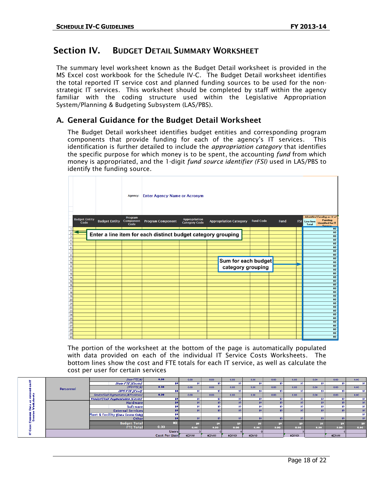# <span id="page-17-0"></span>**Section IV. BUDGET DETAIL SUMMARY WORKSHEET**

The summary level worksheet known as the Budget Detail worksheet is provided in the MS Excel cost workbook for the Schedule IV-C. The Budget Detail worksheet identifies the total reported IT service cost and planned funding sources to be used for the nonstrategic IT services. This worksheet should be completed by staff within the agency familiar with the coding structure used within the Legislative Appropriation System/Planning & Budgeting Subsystem (LAS/PBS).

# <span id="page-17-1"></span>**A. General Guidance for the Budget Detail Worksheet**

The Budget Detail worksheet identifies budget entities and corresponding program components that provide funding for each of the agency's IT services. This identification is further detailed to include the *appropriation category* that identifies the specific purpose for which money is to be spent, the accounting *fund* from which money is appropriated, and the 1-digit *fund source identifier (FSI)* used in LAS/PBS to identify the funding source.

|                                                          |                              | <b>Agency:</b>  | <b>Enter Agency Name or Acronym</b>                          |                                              |                               |                  |             |            |                                                         |                                                |
|----------------------------------------------------------|------------------------------|-----------------|--------------------------------------------------------------|----------------------------------------------|-------------------------------|------------------|-------------|------------|---------------------------------------------------------|------------------------------------------------|
|                                                          | <b>Budget Entity</b><br>Code | Program<br>Code | <b>Budget Entity Component Program Component</b>             | <b>Appropriation</b><br><b>Category Code</b> | <b>Appropriation Category</b> | <b>Fund Code</b> | <b>Fund</b> | <b>FSI</b> | Identified Funding as % of<br><b>Line Item</b><br>Total | Funding<br><b>Identified for IT</b><br>Service |
| $\overline{1}$                                           |                              |                 |                                                              |                                              |                               |                  |             |            |                                                         | $\overline{10}$                                |
| $rac{2}{3}$                                              |                              |                 | Enter a line item for each distinct budget category grouping |                                              |                               |                  |             |            |                                                         | $\overline{10}$                                |
|                                                          |                              |                 |                                                              |                                              |                               |                  |             |            |                                                         | $\overline{10}$                                |
| $\boldsymbol{\mathfrak{q}}$                              |                              |                 |                                                              |                                              |                               |                  |             |            |                                                         | $\overline{10}$<br>$\overline{10}$             |
| $\frac{1}{5}$                                            |                              |                 |                                                              |                                              |                               |                  |             |            |                                                         | $\overline{10}$                                |
| 6                                                        |                              |                 |                                                              |                                              |                               |                  |             |            |                                                         | $\overline{10}$                                |
| $\frac{1}{2}$<br>8                                       |                              |                 |                                                              |                                              |                               |                  |             |            |                                                         | $\overline{10}$                                |
|                                                          |                              |                 |                                                              |                                              |                               |                  |             |            |                                                         | \$0                                            |
|                                                          |                              |                 |                                                              |                                              | Sum for each budget           |                  |             |            |                                                         | $\overline{10}$                                |
|                                                          |                              |                 |                                                              |                                              |                               |                  |             |            |                                                         | $\overline{10}$                                |
|                                                          |                              |                 |                                                              |                                              | category grouping             |                  |             |            |                                                         | $\overline{10}$                                |
|                                                          |                              |                 |                                                              |                                              |                               |                  |             |            |                                                         | $\overline{10}$                                |
|                                                          |                              |                 |                                                              |                                              |                               |                  |             |            |                                                         | $\overline{10}$                                |
|                                                          |                              |                 |                                                              |                                              |                               |                  |             |            |                                                         | $\overline{10}$                                |
|                                                          |                              |                 |                                                              |                                              |                               |                  |             |            |                                                         | $\overline{10}$                                |
|                                                          |                              |                 |                                                              |                                              |                               |                  |             |            |                                                         | $\overline{10}$                                |
| 이 의 리 의 의 의 이 <sub>이</sub> 있는 것 같아 이 의 의 의 의 의 의 의 의 의 의 |                              |                 |                                                              |                                              |                               |                  |             |            |                                                         | $\overline{10}$                                |
|                                                          |                              |                 |                                                              |                                              |                               |                  |             |            |                                                         | $\overline{10}$                                |
|                                                          |                              |                 |                                                              |                                              |                               |                  |             |            |                                                         | $\overline{10}$                                |
|                                                          |                              |                 |                                                              |                                              |                               |                  |             |            |                                                         | $\overline{10}$                                |
|                                                          |                              |                 |                                                              |                                              |                               |                  |             |            |                                                         | $\overline{10}$                                |
|                                                          |                              |                 |                                                              |                                              |                               |                  |             |            |                                                         | $\overline{10}$                                |
|                                                          |                              |                 |                                                              |                                              |                               |                  |             |            |                                                         | $\overline{10}$                                |
|                                                          |                              |                 |                                                              |                                              |                               |                  |             |            |                                                         | $\overline{10}$                                |
|                                                          |                              |                 |                                                              |                                              |                               |                  |             |            |                                                         | $\overline{10}$                                |
|                                                          |                              |                 |                                                              |                                              |                               |                  |             |            |                                                         | $\overline{10}$                                |
|                                                          |                              |                 |                                                              |                                              |                               |                  |             |            |                                                         | $\overline{10}$                                |
|                                                          |                              |                 |                                                              |                                              |                               |                  |             |            |                                                         | $\overline{10}$                                |
|                                                          |                              |                 |                                                              |                                              |                               |                  |             |            |                                                         | $\overline{10}$                                |

The portion of the worksheet at the bottom of the page is automatically populated with data provided on each of the individual IT Service Costs Worksheets. The bottom lines show the cost and FTE totals for each IT service, as well as calculate the cost per user for certain services

|  |           | $State$ FTE $(H)$                        | 0.00                     | 0.00    | 0.00    | 0.00    | 0.00    | 0.00 | 0.00    | 0.00            | 0.00            | 0.00            |
|--|-----------|------------------------------------------|--------------------------|---------|---------|---------|---------|------|---------|-----------------|-----------------|-----------------|
|  | Personnel | <b>State FTE (Costs)</b>                 |                          | \$0     |         |         |         | \$0  | \$O.    |                 |                 | 10              |
|  |           | CPSFTE/H                                 | 0.00                     | 0.00    | 0.00    | 0.00    | 0.00    | 0.00 | 0.00    | 0.00            | 0.00            | 0.00.           |
|  |           | OPS FTE (Cost)                           |                          | \$0     |         | t٥      |         | \$0  | \$O.    |                 |                 | \$0             |
|  |           | Vendor/Staff Augmentation (# Positions)  | 0.00                     | 0.00    | 0.00    | 0.00    | 0.00    | 0.00 | 0.00    | 0.00            | 0.00            | 0.00            |
|  |           | <b>Vendor/Staff Augmentation (Costs)</b> |                          | \$0     | \$0.    | \$0     | \$0.    | \$0  | \$0.    |                 |                 | 10              |
|  |           | <b>Hardware</b>                          |                          | \$0     |         | \$0     |         | \$0  | \$0.    |                 |                 | \$0             |
|  |           | Software                                 |                          | \$0     |         |         |         | \$0  |         |                 |                 | 50 <sub>1</sub> |
|  |           | <b>External Services</b>                 |                          | \$0     | tū.     | 10      | \$0     | \$0  | \$0.    | 10              | 30.             | 10              |
|  |           | Plant & Facility (Data Center Only)      |                          |         |         |         |         |      |         |                 |                 | 10 <sub>1</sub> |
|  |           | Otherl                                   | ш                        | \$0     | $10-1$  | \$0     | \$0     | \$0  | 10      | 10 <sub>1</sub> | 10 <sup>1</sup> | 10 <sup>1</sup> |
|  |           | <b>Budget Total</b>                      | $\overline{\mathbf{50}}$ |         |         |         |         |      |         |                 |                 |                 |
|  |           | <b>FTE Total</b>                         | 0.00                     | 0.00    | 0.00    | 0.00    | 0.00    | 0.00 | 0.00    | 0.00            | 0.00            | 0.00            |
|  |           |                                          | <b>Users</b>             |         |         |         |         |      |         |                 |                 |                 |
|  |           |                                          | Cost Per User            | #DIV/0! | #DIV/0! | #DIV/0! | #DIV/0! |      | #DIV/0! |                 | #DIV/0!         |                 |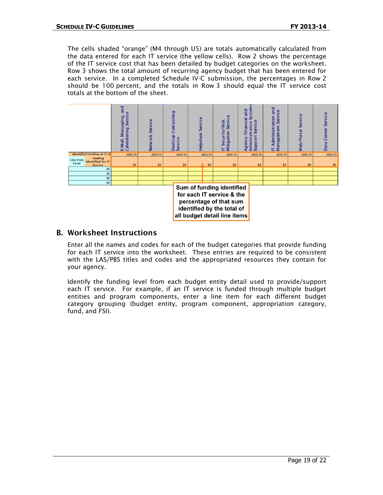The cells shaded "orange" (M4 through U5) are totals automatically calculated from the data entered for each IT service (the yellow cells). Row 2 shows the percentage of the IT service cost that has been detailed by budget categories on the worksheet. Row 3 shows the total amount of recurring agency budget that has been entered for each service. In a completed Schedule IV-C submission, the percentages in Row 2 should be 100 percent, and the totals in Row 3 should equal the IT service cost totals at the bottom of the sheet.



#### <span id="page-18-0"></span>**B. Worksheet Instructions**

Enter all the names and codes for each of the budget categories that provide funding for each IT service into the worksheet. These entries are required to be consistent with the LAS/PBS titles and codes and the appropriated resources they contain for your agency.

Identify the funding level from each budget entity detail used to provide/support each IT service. For example, if an IT service is funded through multiple budget entities and program components, enter a line item for each different budget category grouping (budget entity, program component, appropriation category, fund, and FSI).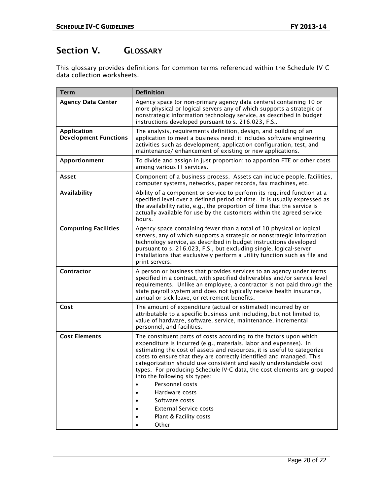# <span id="page-19-0"></span>**Section V. GLOSSARY**

This glossary provides definitions for common terms referenced within the Schedule IV-C data collection worksheets.

| <b>Term</b>                                        | <b>Definition</b>                                                                                                                                                                                                                                                                                                                                                                                                                                                                                                                                                                                                    |
|----------------------------------------------------|----------------------------------------------------------------------------------------------------------------------------------------------------------------------------------------------------------------------------------------------------------------------------------------------------------------------------------------------------------------------------------------------------------------------------------------------------------------------------------------------------------------------------------------------------------------------------------------------------------------------|
| <b>Agency Data Center</b>                          | Agency space (or non-primary agency data centers) containing 10 or<br>more physical or logical servers any of which supports a strategic or<br>nonstrategic information technology service, as described in budget<br>instructions developed pursuant to s. 216.023, F.S                                                                                                                                                                                                                                                                                                                                             |
| <b>Application</b><br><b>Development Functions</b> | The analysis, requirements definition, design, and building of an<br>application to meet a business need; it includes software engineering<br>activities such as development, application configuration, test, and<br>maintenance/enhancement of existing or new applications.                                                                                                                                                                                                                                                                                                                                       |
| Apportionment                                      | To divide and assign in just proportion; to apportion FTE or other costs<br>among various IT services.                                                                                                                                                                                                                                                                                                                                                                                                                                                                                                               |
| Asset                                              | Component of a business process. Assets can include people, facilities,<br>computer systems, networks, paper records, fax machines, etc.                                                                                                                                                                                                                                                                                                                                                                                                                                                                             |
| Availability                                       | Ability of a component or service to perform its required function at a<br>specified level over a defined period of time. It is usually expressed as<br>the availability ratio, e.g., the proportion of time that the service is<br>actually available for use by the customers within the agreed service<br>hours.                                                                                                                                                                                                                                                                                                  |
| <b>Computing Facilities</b>                        | Agency space containing fewer than a total of 10 physical or logical<br>servers, any of which supports a strategic or nonstrategic information<br>technology service, as described in budget instructions developed<br>pursuant to s. 216.023, F.S., but excluding single, logical-server<br>installations that exclusively perform a utility function such as file and<br>print servers.                                                                                                                                                                                                                            |
| <b>Contractor</b>                                  | A person or business that provides services to an agency under terms<br>specified in a contract, with specified deliverables and/or service level<br>requirements. Unlike an employee, a contractor is not paid through the<br>state payroll system and does not typically receive health insurance,<br>annual or sick leave, or retirement benefits.                                                                                                                                                                                                                                                                |
| Cost                                               | The amount of expenditure (actual or estimated) incurred by or<br>attributable to a specific business unit including, but not limited to,<br>value of hardware, software, service, maintenance, incremental<br>personnel, and facilities.                                                                                                                                                                                                                                                                                                                                                                            |
| <b>Cost Elements</b>                               | The constituent parts of costs according to the factors upon which<br>expenditure is incurred (e.g., materials, labor and expenses). In<br>estimating the cost of assets and resources, it is useful to categorize<br>costs to ensure that they are correctly identified and managed. This<br>categorization should use consistent and easily understandable cost<br>types. For producing Schedule IV-C data, the cost elements are grouped<br>into the following six types:<br>Personnel costs<br>Hardware costs<br>Software costs<br><b>External Service costs</b><br>Plant & Facility costs<br>Other<br>$\bullet$ |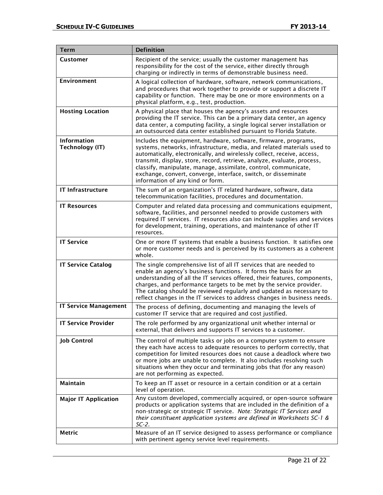| <b>Term</b>                           | <b>Definition</b>                                                                                                                                                                                                                                                                                                                                                                                                                                                         |
|---------------------------------------|---------------------------------------------------------------------------------------------------------------------------------------------------------------------------------------------------------------------------------------------------------------------------------------------------------------------------------------------------------------------------------------------------------------------------------------------------------------------------|
| Customer                              | Recipient of the service; usually the customer management has<br>responsibility for the cost of the service, either directly through<br>charging or indirectly in terms of demonstrable business need.                                                                                                                                                                                                                                                                    |
| <b>Environment</b>                    | A logical collection of hardware, software, network communications,<br>and procedures that work together to provide or support a discrete IT<br>capability or function. There may be one or more environments on a<br>physical platform, e.g., test, production.                                                                                                                                                                                                          |
| <b>Hosting Location</b>               | A physical place that houses the agency's assets and resources<br>providing the IT service. This can be a primary data center, an agency<br>data center, a computing facility, a single logical server installation or<br>an outsourced data center established pursuant to Florida Statute.                                                                                                                                                                              |
| <b>Information</b><br>Technology (IT) | Includes the equipment, hardware, software, firmware, programs,<br>systems, networks, infrastructure, media, and related materials used to<br>automatically, electronically, and wirelessly collect, receive, access,<br>transmit, display, store, record, retrieve, analyze, evaluate, process,<br>classify, manipulate, manage, assimilate, control, communicate,<br>exchange, convert, converge, interface, switch, or disseminate<br>information of any kind or form. |
| <b>IT Infrastructure</b>              | The sum of an organization's IT related hardware, software, data<br>telecommunication facilities, procedures and documentation.                                                                                                                                                                                                                                                                                                                                           |
| <b>IT Resources</b>                   | Computer and related data processing and communications equipment,<br>software, facilities, and personnel needed to provide customers with<br>required IT services. IT resources also can include supplies and services<br>for development, training, operations, and maintenance of other IT<br>resources.                                                                                                                                                               |
| <b>IT Service</b>                     | One or more IT systems that enable a business function. It satisfies one<br>or more customer needs and is perceived by its customers as a coherent<br>whole.                                                                                                                                                                                                                                                                                                              |
| <b>IT Service Catalog</b>             | The single comprehensive list of all IT services that are needed to<br>enable an agency's business functions. It forms the basis for an<br>understanding of all the IT services offered, their features, components,<br>charges, and performance targets to be met by the service provider.<br>The catalog should be reviewed regularly and updated as necessary to<br>reflect changes in the IT services to address changes in business needs.                           |
| <b>IT Service Management</b>          | The process of defining, documenting and managing the levels of<br>customer IT service that are required and cost justified.                                                                                                                                                                                                                                                                                                                                              |
| <b>IT Service Provider</b>            | The role performed by any organizational unit whether internal or<br>external, that delivers and supports IT services to a customer.                                                                                                                                                                                                                                                                                                                                      |
| <b>Job Control</b>                    | The control of multiple tasks or jobs on a computer system to ensure<br>they each have access to adequate resources to perform correctly, that<br>competition for limited resources does not cause a deadlock where two<br>or more jobs are unable to complete. It also includes resolving such<br>situations when they occur and terminating jobs that (for any reason)<br>are not performing as expected.                                                               |
| <b>Maintain</b>                       | To keep an IT asset or resource in a certain condition or at a certain<br>level of operation.                                                                                                                                                                                                                                                                                                                                                                             |
| <b>Major IT Application</b>           | Any custom developed, commercially acquired, or open-source software<br>products or application systems that are included in the definition of a<br>non-strategic or strategic IT service. Note: Strategic IT Services and<br>their constituent application systems are defined in Worksheets SC-1 &<br>$SC-2$ .                                                                                                                                                          |
| Metric                                | Measure of an IT service designed to assess performance or compliance<br>with pertinent agency service level requirements.                                                                                                                                                                                                                                                                                                                                                |